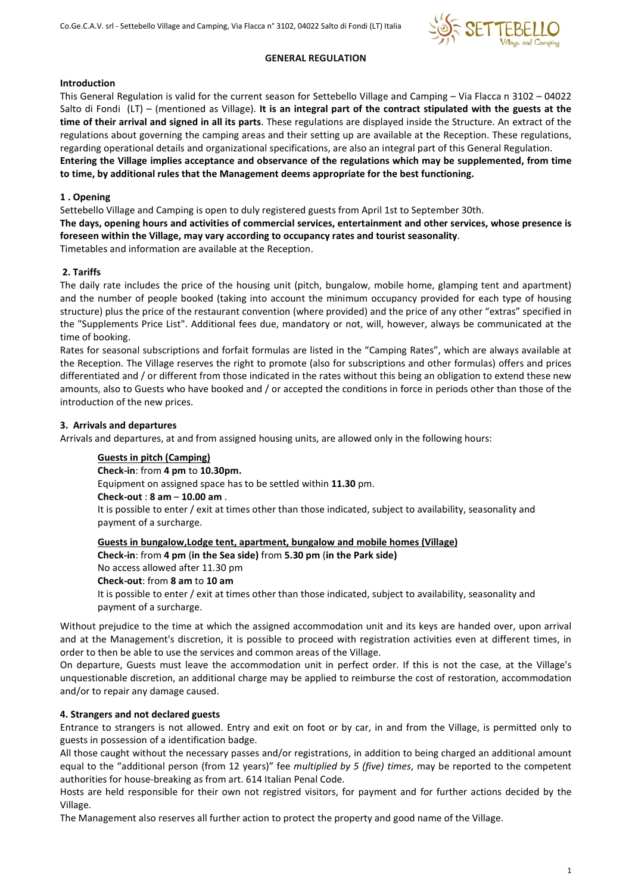

### GENERAL REGULATION

### Introduction

This General Regulation is valid for the current season for Settebello Village and Camping – Via Flacca n 3102 – 04022 Salto di Fondi  $(LT)$  – (mentioned as Village). It is an integral part of the contract stipulated with the guests at the time of their arrival and signed in all its parts. These regulations are displayed inside the Structure. An extract of the regulations about governing the camping areas and their setting up are available at the Reception. These regulations, regarding operational details and organizational specifications, are also an integral part of this General Regulation. Entering the Village implies acceptance and observance of the regulations which may be supplemented, from time

to time, by additional rules that the Management deems appropriate for the best functioning.

# 1 . Opening

Settebello Village and Camping is open to duly registered guests from April 1st to September 30th.

The days, opening hours and activities of commercial services, entertainment and other services, whose presence is foreseen within the Village, may vary according to occupancy rates and tourist seasonality.

Timetables and information are available at the Reception.

## 2. Tariffs

The daily rate includes the price of the housing unit (pitch, bungalow, mobile home, glamping tent and apartment) and the number of people booked (taking into account the minimum occupancy provided for each type of housing structure) plus the price of the restaurant convention (where provided) and the price of any other "extras" specified in the "Supplements Price List". Additional fees due, mandatory or not, will, however, always be communicated at the time of booking.

Rates for seasonal subscriptions and forfait formulas are listed in the "Camping Rates", which are always available at the Reception. The Village reserves the right to promote (also for subscriptions and other formulas) offers and prices differentiated and / or different from those indicated in the rates without this being an obligation to extend these new amounts, also to Guests who have booked and / or accepted the conditions in force in periods other than those of the introduction of the new prices.

## 3. Arrivals and departures

Arrivals and departures, at and from assigned housing units, are allowed only in the following hours:

### Guests in pitch (Camping)

Check-in: from 4 pm to 10.30pm.

Equipment on assigned space has to be settled within 11.30 pm.

Check-out : 8 am – 10.00 am .

It is possible to enter / exit at times other than those indicated, subject to availability, seasonality and payment of a surcharge.

Guests in bungalow,Lodge tent, apartment, bungalow and mobile homes (Village)

Check-in: from 4 pm (in the Sea side) from 5.30 pm (in the Park side)

No access allowed after 11.30 pm

Check-out: from 8 am to 10 am

It is possible to enter / exit at times other than those indicated, subject to availability, seasonality and payment of a surcharge.

Without prejudice to the time at which the assigned accommodation unit and its keys are handed over, upon arrival and at the Management's discretion, it is possible to proceed with registration activities even at different times, in order to then be able to use the services and common areas of the Village.

On departure, Guests must leave the accommodation unit in perfect order. If this is not the case, at the Village's unquestionable discretion, an additional charge may be applied to reimburse the cost of restoration, accommodation and/or to repair any damage caused.

# 4. Strangers and not declared guests

Entrance to strangers is not allowed. Entry and exit on foot or by car, in and from the Village, is permitted only to guests in possession of a identification badge.

All those caught without the necessary passes and/or registrations, in addition to being charged an additional amount equal to the "additional person (from 12 years)" fee multiplied by 5 (five) times, may be reported to the competent authorities for house-breaking as from art. 614 Italian Penal Code.

Hosts are held responsible for their own not registred visitors, for payment and for further actions decided by the Village.

The Management also reserves all further action to protect the property and good name of the Village.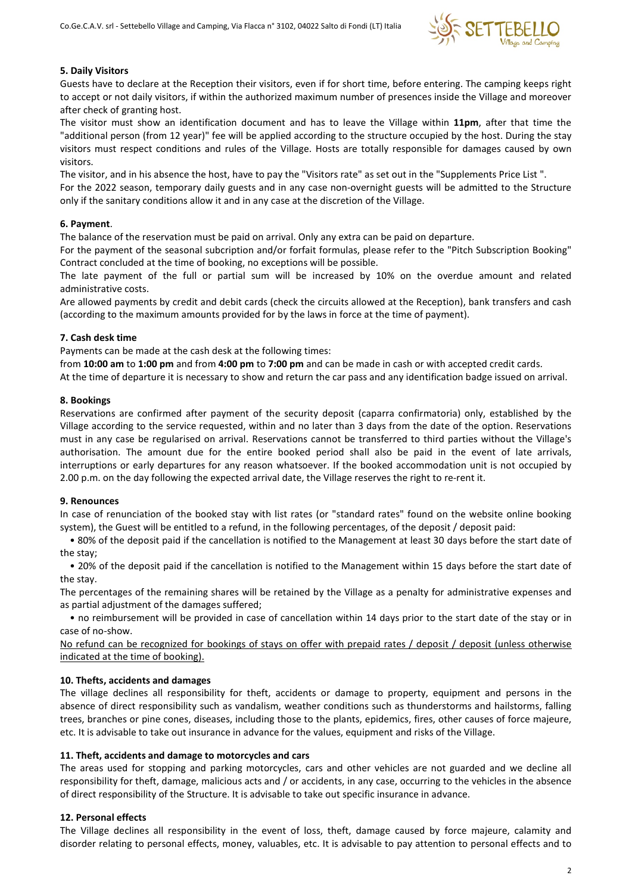

#### 5. Daily Visitors

Guests have to declare at the Reception their visitors, even if for short time, before entering. The camping keeps right to accept or not daily visitors, if within the authorized maximum number of presences inside the Village and moreover after check of granting host.

The visitor must show an identification document and has to leave the Village within 11pm, after that time the "additional person (from 12 year)" fee will be applied according to the structure occupied by the host. During the stay visitors must respect conditions and rules of the Village. Hosts are totally responsible for damages caused by own visitors.

The visitor, and in his absence the host, have to pay the "Visitors rate" as set out in the "Supplements Price List ". For the 2022 season, temporary daily guests and in any case non-overnight guests will be admitted to the Structure only if the sanitary conditions allow it and in any case at the discretion of the Village.

#### 6. Payment.

The balance of the reservation must be paid on arrival. Only any extra can be paid on departure.

For the payment of the seasonal subcription and/or forfait formulas, please refer to the "Pitch Subscription Booking" Contract concluded at the time of booking, no exceptions will be possible.

The late payment of the full or partial sum will be increased by 10% on the overdue amount and related administrative costs.

Are allowed payments by credit and debit cards (check the circuits allowed at the Reception), bank transfers and cash (according to the maximum amounts provided for by the laws in force at the time of payment).

#### 7. Cash desk time

Payments can be made at the cash desk at the following times:

from 10:00 am to 1:00 pm and from 4:00 pm to 7:00 pm and can be made in cash or with accepted credit cards.

At the time of departure it is necessary to show and return the car pass and any identification badge issued on arrival.

#### 8. Bookings

Reservations are confirmed after payment of the security deposit (caparra confirmatoria) only, established by the Village according to the service requested, within and no later than 3 days from the date of the option. Reservations must in any case be regularised on arrival. Reservations cannot be transferred to third parties without the Village's authorisation. The amount due for the entire booked period shall also be paid in the event of late arrivals, interruptions or early departures for any reason whatsoever. If the booked accommodation unit is not occupied by 2.00 p.m. on the day following the expected arrival date, the Village reserves the right to re-rent it.

### 9. Renounces

In case of renunciation of the booked stay with list rates (or "standard rates" found on the website online booking system), the Guest will be entitled to a refund, in the following percentages, of the deposit / deposit paid:

 • 80% of the deposit paid if the cancellation is notified to the Management at least 30 days before the start date of the stay;

 • 20% of the deposit paid if the cancellation is notified to the Management within 15 days before the start date of the stay.

The percentages of the remaining shares will be retained by the Village as a penalty for administrative expenses and as partial adjustment of the damages suffered;

 • no reimbursement will be provided in case of cancellation within 14 days prior to the start date of the stay or in case of no-show.

No refund can be recognized for bookings of stays on offer with prepaid rates / deposit / deposit (unless otherwise indicated at the time of booking).

### 10. Thefts, accidents and damages

The village declines all responsibility for theft, accidents or damage to property, equipment and persons in the absence of direct responsibility such as vandalism, weather conditions such as thunderstorms and hailstorms, falling trees, branches or pine cones, diseases, including those to the plants, epidemics, fires, other causes of force majeure, etc. It is advisable to take out insurance in advance for the values, equipment and risks of the Village.

### 11. Theft, accidents and damage to motorcycles and cars

The areas used for stopping and parking motorcycles, cars and other vehicles are not guarded and we decline all responsibility for theft, damage, malicious acts and / or accidents, in any case, occurring to the vehicles in the absence of direct responsibility of the Structure. It is advisable to take out specific insurance in advance.

### 12. Personal effects

The Village declines all responsibility in the event of loss, theft, damage caused by force majeure, calamity and disorder relating to personal effects, money, valuables, etc. It is advisable to pay attention to personal effects and to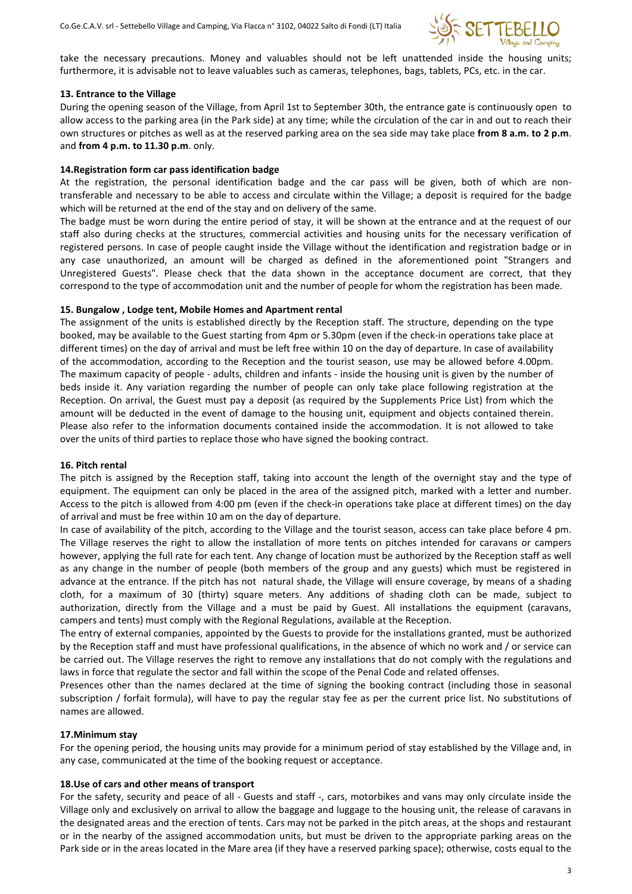

take the necessary precautions. Money and valuables should not be left unattended inside the housing units; furthermore, it is advisable not to leave valuables such as cameras, telephones, bags, tablets, PCs, etc. in the car.

#### 13. Entrance to the Village

During the opening season of the Village, from April 1st to September 30th, the entrance gate is continuously open to allow access to the parking area (in the Park side) at any time; while the circulation of the car in and out to reach their own structures or pitches as well as at the reserved parking area on the sea side may take place from 8 a.m. to 2 p.m. and from 4 p.m. to 11.30 p.m. only.

#### 14.Registration form car pass identification badge

At the registration, the personal identification badge and the car pass will be given, both of which are nontransferable and necessary to be able to access and circulate within the Village; a deposit is required for the badge which will be returned at the end of the stay and on delivery of the same.

The badge must be worn during the entire period of stay, it will be shown at the entrance and at the request of our staff also during checks at the structures, commercial activities and housing units for the necessary verification of registered persons. In case of people caught inside the Village without the identification and registration badge or in any case unauthorized, an amount will be charged as defined in the aforementioned point "Strangers and Unregistered Guests". Please check that the data shown in the acceptance document are correct, that they correspond to the type of accommodation unit and the number of people for whom the registration has been made.

#### 15. Bungalow , Lodge tent, Mobile Homes and Apartment rental

The assignment of the units is established directly by the Reception staff. The structure, depending on the type booked, may be available to the Guest starting from 4pm or 5.30pm (even if the check-in operations take place at different times) on the day of arrival and must be left free within 10 on the day of departure. In case of availability of the accommodation, according to the Reception and the tourist season, use may be allowed before 4.00pm. The maximum capacity of people - adults, children and infants - inside the housing unit is given by the number of beds inside it. Any variation regarding the number of people can only take place following registration at the Reception. On arrival, the Guest must pay a deposit (as required by the Supplements Price List) from which the amount will be deducted in the event of damage to the housing unit, equipment and objects contained therein. Please also refer to the information documents contained inside the accommodation. It is not allowed to take over the units of third parties to replace those who have signed the booking contract.

### 16. Pitch rental

The pitch is assigned by the Reception staff, taking into account the length of the overnight stay and the type of equipment. The equipment can only be placed in the area of the assigned pitch, marked with a letter and number. Access to the pitch is allowed from 4:00 pm (even if the check-in operations take place at different times) on the day of arrival and must be free within 10 am on the day of departure.

In case of availability of the pitch, according to the Village and the tourist season, access can take place before 4 pm. The Village reserves the right to allow the installation of more tents on pitches intended for caravans or campers however, applying the full rate for each tent. Any change of location must be authorized by the Reception staff as well as any change in the number of people (both members of the group and any guests) which must be registered in advance at the entrance. If the pitch has not natural shade, the Village will ensure coverage, by means of a shading cloth, for a maximum of 30 (thirty) square meters. Any additions of shading cloth can be made, subject to authorization, directly from the Village and a must be paid by Guest. All installations the equipment (caravans, campers and tents) must comply with the Regional Regulations, available at the Reception.

The entry of external companies, appointed by the Guests to provide for the installations granted, must be authorized by the Reception staff and must have professional qualifications, in the absence of which no work and / or service can be carried out. The Village reserves the right to remove any installations that do not comply with the regulations and laws in force that regulate the sector and fall within the scope of the Penal Code and related offenses.

Presences other than the names declared at the time of signing the booking contract (including those in seasonal subscription / forfait formula), will have to pay the regular stay fee as per the current price list. No substitutions of names are allowed.

### 17.Minimum stay

For the opening period, the housing units may provide for a minimum period of stay established by the Village and, in any case, communicated at the time of the booking request or acceptance.

### 18.Use of cars and other means of transport

For the safety, security and peace of all - Guests and staff -, cars, motorbikes and vans may only circulate inside the Village only and exclusively on arrival to allow the baggage and luggage to the housing unit, the release of caravans in the designated areas and the erection of tents. Cars may not be parked in the pitch areas, at the shops and restaurant or in the nearby of the assigned accommodation units, but must be driven to the appropriate parking areas on the Park side or in the areas located in the Mare area (if they have a reserved parking space); otherwise, costs equal to the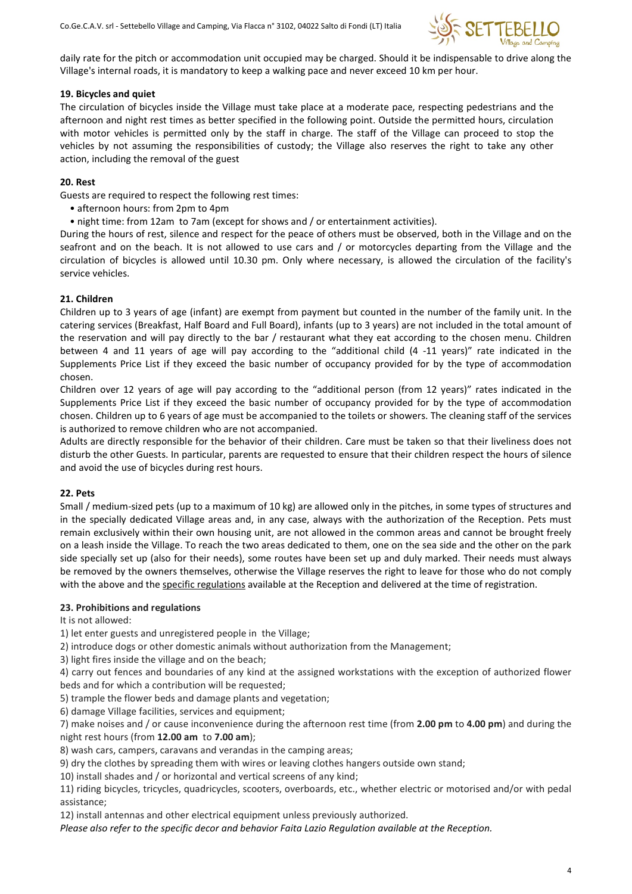

daily rate for the pitch or accommodation unit occupied may be charged. Should it be indispensable to drive along the Village's internal roads, it is mandatory to keep a walking pace and never exceed 10 km per hour.

### 19. Bicycles and quiet

The circulation of bicycles inside the Village must take place at a moderate pace, respecting pedestrians and the afternoon and night rest times as better specified in the following point. Outside the permitted hours, circulation with motor vehicles is permitted only by the staff in charge. The staff of the Village can proceed to stop the vehicles by not assuming the responsibilities of custody; the Village also reserves the right to take any other action, including the removal of the guest

#### 20. Rest

Guests are required to respect the following rest times:

- afternoon hours: from 2pm to 4pm
- night time: from 12am to 7am (except for shows and / or entertainment activities).

During the hours of rest, silence and respect for the peace of others must be observed, both in the Village and on the seafront and on the beach. It is not allowed to use cars and / or motorcycles departing from the Village and the circulation of bicycles is allowed until 10.30 pm. Only where necessary, is allowed the circulation of the facility's service vehicles.

### 21. Children

Children up to 3 years of age (infant) are exempt from payment but counted in the number of the family unit. In the catering services (Breakfast, Half Board and Full Board), infants (up to 3 years) are not included in the total amount of the reservation and will pay directly to the bar / restaurant what they eat according to the chosen menu. Children between 4 and 11 years of age will pay according to the "additional child (4 -11 years)" rate indicated in the Supplements Price List if they exceed the basic number of occupancy provided for by the type of accommodation chosen.

Children over 12 years of age will pay according to the "additional person (from 12 years)" rates indicated in the Supplements Price List if they exceed the basic number of occupancy provided for by the type of accommodation chosen. Children up to 6 years of age must be accompanied to the toilets or showers. The cleaning staff of the services is authorized to remove children who are not accompanied.

Adults are directly responsible for the behavior of their children. Care must be taken so that their liveliness does not disturb the other Guests. In particular, parents are requested to ensure that their children respect the hours of silence and avoid the use of bicycles during rest hours.

### 22. Pets

Small / medium-sized pets (up to a maximum of 10 kg) are allowed only in the pitches, in some types of structures and in the specially dedicated Village areas and, in any case, always with the authorization of the Reception. Pets must remain exclusively within their own housing unit, are not allowed in the common areas and cannot be brought freely on a leash inside the Village. To reach the two areas dedicated to them, one on the sea side and the other on the park side specially set up (also for their needs), some routes have been set up and duly marked. Their needs must always be removed by the owners themselves, otherwise the Village reserves the right to leave for those who do not comply with the above and the specific regulations available at the Reception and delivered at the time of registration.

### 23. Prohibitions and regulations

It is not allowed:

1) let enter guests and unregistered people in the Village;

2) introduce dogs or other domestic animals without authorization from the Management;

3) light fires inside the village and on the beach;

4) carry out fences and boundaries of any kind at the assigned workstations with the exception of authorized flower beds and for which a contribution will be requested;

5) trample the flower beds and damage plants and vegetation;

6) damage Village facilities, services and equipment;

7) make noises and / or cause inconvenience during the afternoon rest time (from 2.00 pm to 4.00 pm) and during the night rest hours (from 12.00 am to 7.00 am);

8) wash cars, campers, caravans and verandas in the camping areas;

9) dry the clothes by spreading them with wires or leaving clothes hangers outside own stand;

10) install shades and / or horizontal and vertical screens of any kind;

11) riding bicycles, tricycles, quadricycles, scooters, overboards, etc., whether electric or motorised and/or with pedal assistance;

12) install antennas and other electrical equipment unless previously authorized.

Please also refer to the specific decor and behavior Faita Lazio Regulation available at the Reception.